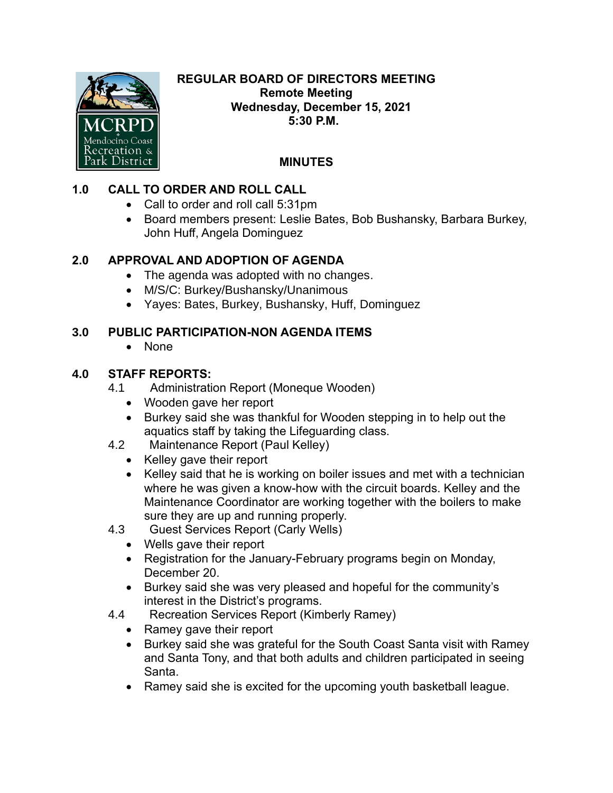

#### **REGULAR BOARD OF DIRECTORS MEETING Remote Meeting Wednesday, December 15, 2021 5:30 P.M.**

# **MINUTES**

# **1.0 CALL TO ORDER AND ROLL CALL**

- Call to order and roll call 5:31pm
- Board members present: Leslie Bates, Bob Bushansky, Barbara Burkey, John Huff, Angela Dominguez

## **2.0 APPROVAL AND ADOPTION OF AGENDA**

- The agenda was adopted with no changes.
- M/S/C: Burkey/Bushansky/Unanimous
- Yayes: Bates, Burkey, Bushansky, Huff, Dominguez

### **3.0 PUBLIC PARTICIPATION-NON AGENDA ITEMS**

• None

#### **4.0 STAFF REPORTS:**

- 4.1 Administration Report (Moneque Wooden)
	- Wooden gave her report
	- Burkey said she was thankful for Wooden stepping in to help out the aquatics staff by taking the Lifeguarding class.
- 4.2 Maintenance Report (Paul Kelley)
	- Kelley gave their report
	- Kelley said that he is working on boiler issues and met with a technician where he was given a know-how with the circuit boards. Kelley and the Maintenance Coordinator are working together with the boilers to make sure they are up and running properly.
- 4.3 Guest Services Report (Carly Wells)
	- Wells gave their report
	- Registration for the January-February programs begin on Monday, December 20.
	- Burkey said she was very pleased and hopeful for the community's interest in the District's programs.
- 4.4 Recreation Services Report (Kimberly Ramey)
	- Ramey gave their report
	- Burkey said she was grateful for the South Coast Santa visit with Ramey and Santa Tony, and that both adults and children participated in seeing Santa.
	- Ramey said she is excited for the upcoming youth basketball league.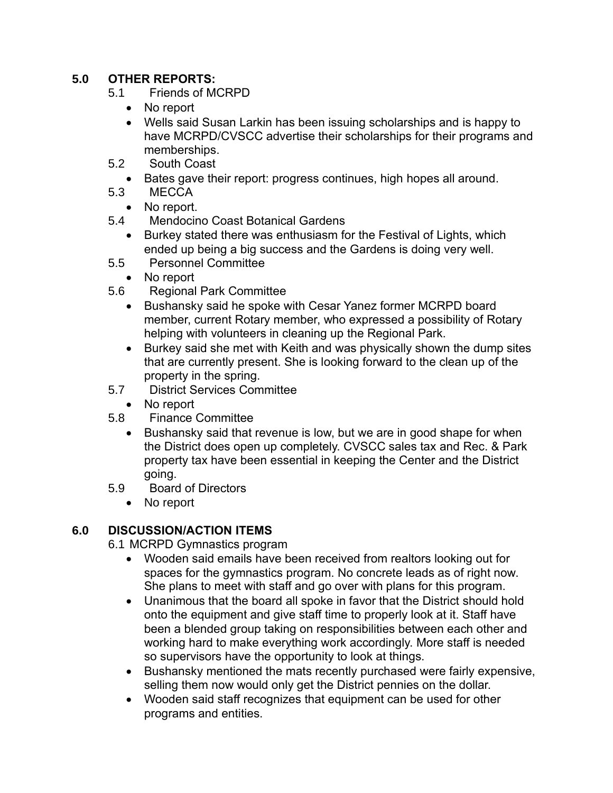## **5.0 OTHER REPORTS:**

- 5.1 Friends of MCRPD
	- No report
	- Wells said Susan Larkin has been issuing scholarships and is happy to have MCRPD/CVSCC advertise their scholarships for their programs and memberships.
- 5.2 South Coast
	- Bates gave their report: progress continues, high hopes all around.
- 5.3 MECCA
	- No report.
- 5.4 Mendocino Coast Botanical Gardens
	- Burkey stated there was enthusiasm for the Festival of Lights, which ended up being a big success and the Gardens is doing very well.
- 5.5 Personnel Committee
- No report
- 5.6 Regional Park Committee
	- Bushansky said he spoke with Cesar Yanez former MCRPD board member, current Rotary member, who expressed a possibility of Rotary helping with volunteers in cleaning up the Regional Park.
	- Burkey said she met with Keith and was physically shown the dump sites that are currently present. She is looking forward to the clean up of the property in the spring.
- 5.7 District Services Committee
	- No report
- 5.8 Finance Committee
	- Bushansky said that revenue is low, but we are in good shape for when the District does open up completely. CVSCC sales tax and Rec. & Park property tax have been essential in keeping the Center and the District going.
- 5.9 Board of Directors
	- No report

# **6.0 DISCUSSION/ACTION ITEMS**

6.1 MCRPD Gymnastics program

- Wooden said emails have been received from realtors looking out for spaces for the gymnastics program. No concrete leads as of right now. She plans to meet with staff and go over with plans for this program.
- Unanimous that the board all spoke in favor that the District should hold onto the equipment and give staff time to properly look at it. Staff have been a blended group taking on responsibilities between each other and working hard to make everything work accordingly. More staff is needed so supervisors have the opportunity to look at things.
- Bushansky mentioned the mats recently purchased were fairly expensive, selling them now would only get the District pennies on the dollar.
- Wooden said staff recognizes that equipment can be used for other programs and entities.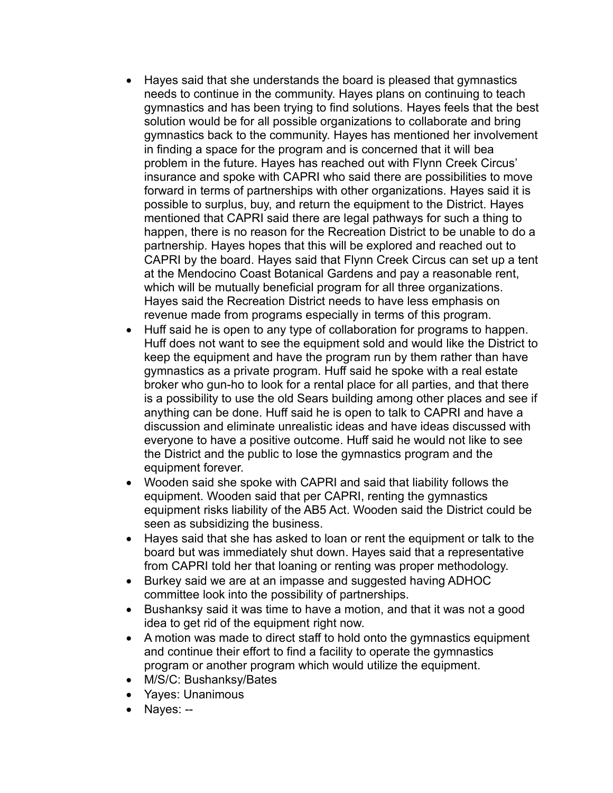- Hayes said that she understands the board is pleased that gymnastics needs to continue in the community. Hayes plans on continuing to teach gymnastics and has been trying to find solutions. Hayes feels that the best solution would be for all possible organizations to collaborate and bring gymnastics back to the community. Hayes has mentioned her involvement in finding a space for the program and is concerned that it will bea problem in the future. Hayes has reached out with Flynn Creek Circus' insurance and spoke with CAPRI who said there are possibilities to move forward in terms of partnerships with other organizations. Hayes said it is possible to surplus, buy, and return the equipment to the District. Hayes mentioned that CAPRI said there are legal pathways for such a thing to happen, there is no reason for the Recreation District to be unable to do a partnership. Hayes hopes that this will be explored and reached out to CAPRI by the board. Hayes said that Flynn Creek Circus can set up a tent at the Mendocino Coast Botanical Gardens and pay a reasonable rent, which will be mutually beneficial program for all three organizations. Hayes said the Recreation District needs to have less emphasis on revenue made from programs especially in terms of this program.
- Huff said he is open to any type of collaboration for programs to happen. Huff does not want to see the equipment sold and would like the District to keep the equipment and have the program run by them rather than have gymnastics as a private program. Huff said he spoke with a real estate broker who gun-ho to look for a rental place for all parties, and that there is a possibility to use the old Sears building among other places and see if anything can be done. Huff said he is open to talk to CAPRI and have a discussion and eliminate unrealistic ideas and have ideas discussed with everyone to have a positive outcome. Huff said he would not like to see the District and the public to lose the gymnastics program and the equipment forever.
- Wooden said she spoke with CAPRI and said that liability follows the equipment. Wooden said that per CAPRI, renting the gymnastics equipment risks liability of the AB5 Act. Wooden said the District could be seen as subsidizing the business.
- Hayes said that she has asked to loan or rent the equipment or talk to the board but was immediately shut down. Hayes said that a representative from CAPRI told her that loaning or renting was proper methodology.
- Burkey said we are at an impasse and suggested having ADHOC committee look into the possibility of partnerships.
- Bushanksy said it was time to have a motion, and that it was not a good idea to get rid of the equipment right now.
- A motion was made to direct staff to hold onto the gymnastics equipment and continue their effort to find a facility to operate the gymnastics program or another program which would utilize the equipment.
- M/S/C: Bushanksy/Bates
- Yayes: Unanimous
- Nayes: --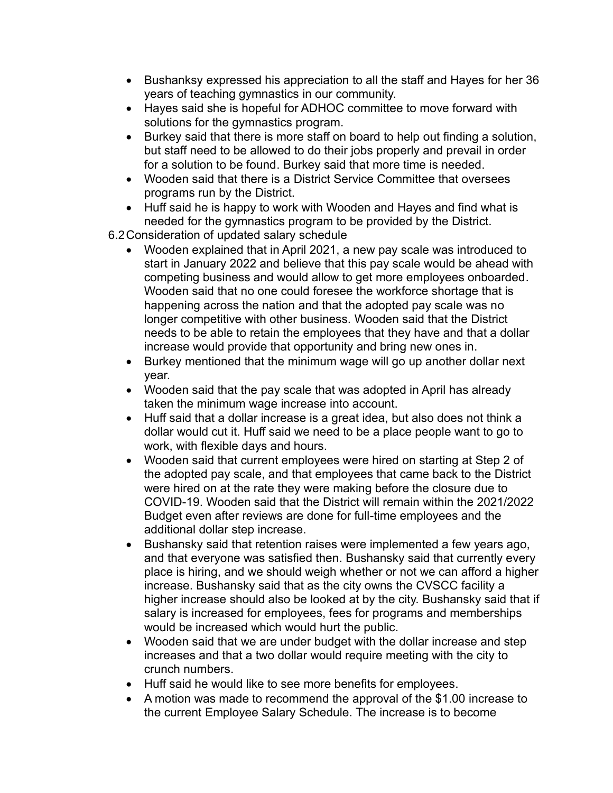- Bushanksy expressed his appreciation to all the staff and Hayes for her 36 years of teaching gymnastics in our community.
- Hayes said she is hopeful for ADHOC committee to move forward with solutions for the gymnastics program.
- Burkey said that there is more staff on board to help out finding a solution, but staff need to be allowed to do their jobs properly and prevail in order for a solution to be found. Burkey said that more time is needed.
- Wooden said that there is a District Service Committee that oversees programs run by the District.
- Huff said he is happy to work with Wooden and Hayes and find what is needed for the gymnastics program to be provided by the District.

6.2Consideration of updated salary schedule

- Wooden explained that in April 2021, a new pay scale was introduced to start in January 2022 and believe that this pay scale would be ahead with competing business and would allow to get more employees onboarded. Wooden said that no one could foresee the workforce shortage that is happening across the nation and that the adopted pay scale was no longer competitive with other business. Wooden said that the District needs to be able to retain the employees that they have and that a dollar increase would provide that opportunity and bring new ones in.
- Burkey mentioned that the minimum wage will go up another dollar next year.
- Wooden said that the pay scale that was adopted in April has already taken the minimum wage increase into account.
- Huff said that a dollar increase is a great idea, but also does not think a dollar would cut it. Huff said we need to be a place people want to go to work, with flexible days and hours.
- Wooden said that current employees were hired on starting at Step 2 of the adopted pay scale, and that employees that came back to the District were hired on at the rate they were making before the closure due to COVID-19. Wooden said that the District will remain within the 2021/2022 Budget even after reviews are done for full-time employees and the additional dollar step increase.
- Bushansky said that retention raises were implemented a few years ago, and that everyone was satisfied then. Bushansky said that currently every place is hiring, and we should weigh whether or not we can afford a higher increase. Bushansky said that as the city owns the CVSCC facility a higher increase should also be looked at by the city. Bushansky said that if salary is increased for employees, fees for programs and memberships would be increased which would hurt the public.
- Wooden said that we are under budget with the dollar increase and step increases and that a two dollar would require meeting with the city to crunch numbers.
- Huff said he would like to see more benefits for employees.
- A motion was made to recommend the approval of the \$1.00 increase to the current Employee Salary Schedule. The increase is to become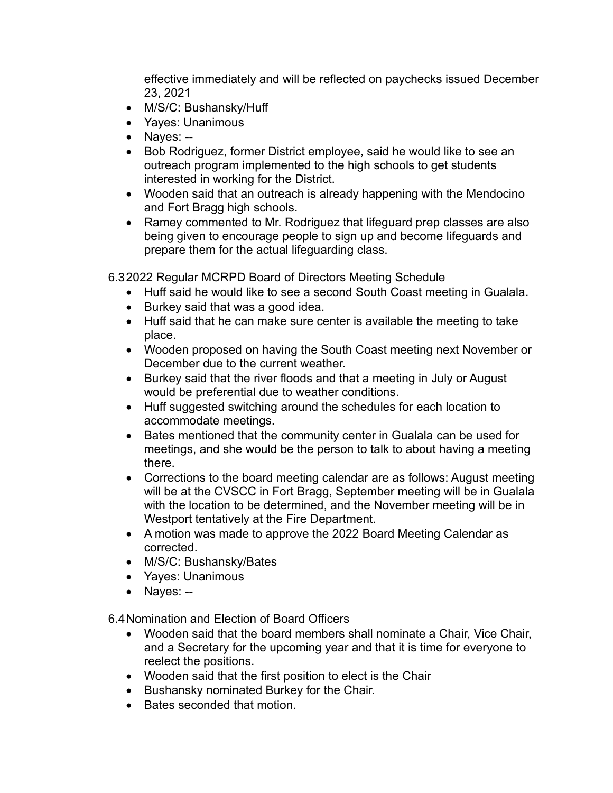effective immediately and will be reflected on paychecks issued December 23, 2021

- M/S/C: Bushansky/Huff
- Yayes: Unanimous
- Nayes: --
- Bob Rodriguez, former District employee, said he would like to see an outreach program implemented to the high schools to get students interested in working for the District.
- Wooden said that an outreach is already happening with the Mendocino and Fort Bragg high schools.
- Ramey commented to Mr. Rodriguez that lifeguard prep classes are also being given to encourage people to sign up and become lifeguards and prepare them for the actual lifeguarding class.

6.32022 Regular MCRPD Board of Directors Meeting Schedule

- Huff said he would like to see a second South Coast meeting in Gualala.
- Burkey said that was a good idea.
- Huff said that he can make sure center is available the meeting to take place.
- Wooden proposed on having the South Coast meeting next November or December due to the current weather.
- Burkey said that the river floods and that a meeting in July or August would be preferential due to weather conditions.
- Huff suggested switching around the schedules for each location to accommodate meetings.
- Bates mentioned that the community center in Gualala can be used for meetings, and she would be the person to talk to about having a meeting there.
- Corrections to the board meeting calendar are as follows: August meeting will be at the CVSCC in Fort Bragg, September meeting will be in Gualala with the location to be determined, and the November meeting will be in Westport tentatively at the Fire Department.
- A motion was made to approve the 2022 Board Meeting Calendar as corrected.
- M/S/C: Bushansky/Bates
- Yayes: Unanimous
- Nayes: --

6.4Nomination and Election of Board Officers

- Wooden said that the board members shall nominate a Chair, Vice Chair, and a Secretary for the upcoming year and that it is time for everyone to reelect the positions.
- Wooden said that the first position to elect is the Chair
- Bushansky nominated Burkey for the Chair.
- Bates seconded that motion.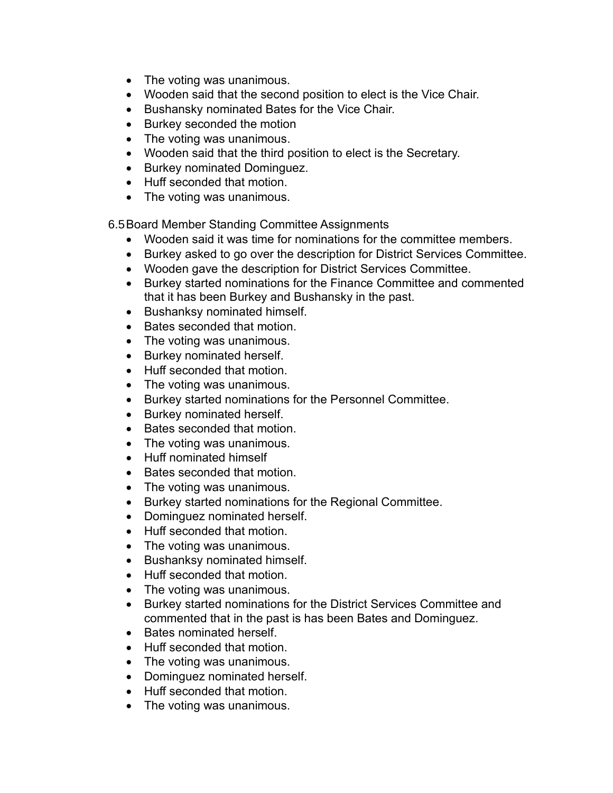- The voting was unanimous.
- Wooden said that the second position to elect is the Vice Chair.
- Bushansky nominated Bates for the Vice Chair.
- Burkey seconded the motion
- The voting was unanimous.
- Wooden said that the third position to elect is the Secretary.
- Burkey nominated Dominguez.
- Huff seconded that motion.
- The voting was unanimous.

6.5Board Member Standing Committee Assignments

- Wooden said it was time for nominations for the committee members.
- Burkey asked to go over the description for District Services Committee.
- Wooden gave the description for District Services Committee.
- Burkey started nominations for the Finance Committee and commented that it has been Burkey and Bushansky in the past.
- Bushanksy nominated himself.
- Bates seconded that motion.
- The voting was unanimous.
- Burkey nominated herself.
- Huff seconded that motion.
- The voting was unanimous.
- Burkey started nominations for the Personnel Committee.
- Burkey nominated herself.
- Bates seconded that motion.
- The voting was unanimous.
- Huff nominated himself
- Bates seconded that motion.
- The voting was unanimous.
- Burkey started nominations for the Regional Committee.
- Dominguez nominated herself.
- Huff seconded that motion.
- The voting was unanimous.
- Bushanksy nominated himself.
- Huff seconded that motion.
- The voting was unanimous.
- Burkey started nominations for the District Services Committee and commented that in the past is has been Bates and Dominguez.
- Bates nominated herself.
- Huff seconded that motion.
- The voting was unanimous.
- Dominguez nominated herself.
- Huff seconded that motion.
- The voting was unanimous.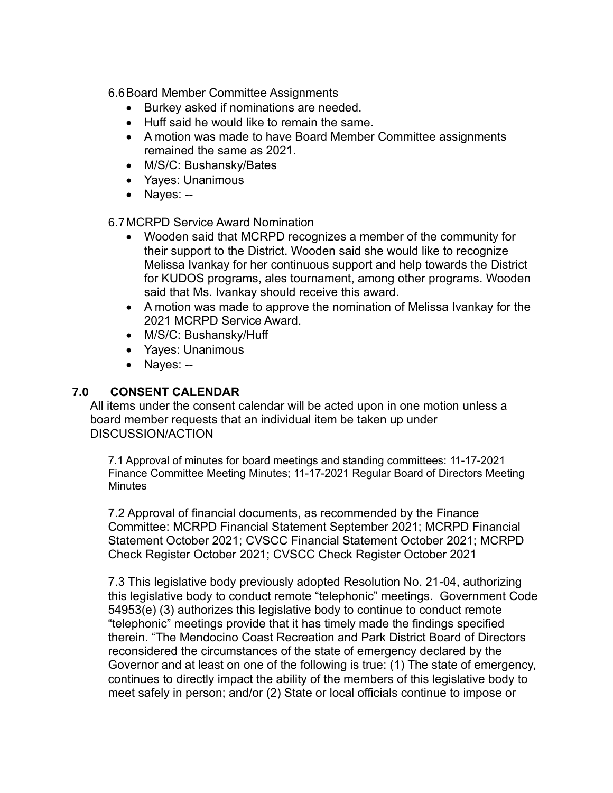6.6Board Member Committee Assignments

- Burkey asked if nominations are needed.
- Huff said he would like to remain the same.
- A motion was made to have Board Member Committee assignments remained the same as 2021.
- M/S/C: Bushansky/Bates
- Yayes: Unanimous
- Nayes: --

6.7MCRPD Service Award Nomination

- Wooden said that MCRPD recognizes a member of the community for their support to the District. Wooden said she would like to recognize Melissa Ivankay for her continuous support and help towards the District for KUDOS programs, ales tournament, among other programs. Wooden said that Ms. Ivankay should receive this award.
- A motion was made to approve the nomination of Melissa Ivankay for the 2021 MCRPD Service Award.
- M/S/C: Bushansky/Huff
- Yayes: Unanimous
- Nayes: --

## **7.0 CONSENT CALENDAR**

All items under the consent calendar will be acted upon in one motion unless a board member requests that an individual item be taken up under DISCUSSION/ACTION

7.1 Approval of minutes for board meetings and standing committees: 11-17-2021 Finance Committee Meeting Minutes; 11-17-2021 Regular Board of Directors Meeting **Minutes** 

7.2 Approval of financial documents, as recommended by the Finance Committee: MCRPD Financial Statement September 2021; MCRPD Financial Statement October 2021; CVSCC Financial Statement October 2021; MCRPD Check Register October 2021; CVSCC Check Register October 2021

7.3 This legislative body previously adopted Resolution No. 21-04, authorizing this legislative body to conduct remote "telephonic" meetings. Government Code 54953(e) (3) authorizes this legislative body to continue to conduct remote "telephonic" meetings provide that it has timely made the findings specified therein. "The Mendocino Coast Recreation and Park District Board of Directors reconsidered the circumstances of the state of emergency declared by the Governor and at least on one of the following is true: (1) The state of emergency, continues to directly impact the ability of the members of this legislative body to meet safely in person; and/or (2) State or local officials continue to impose or